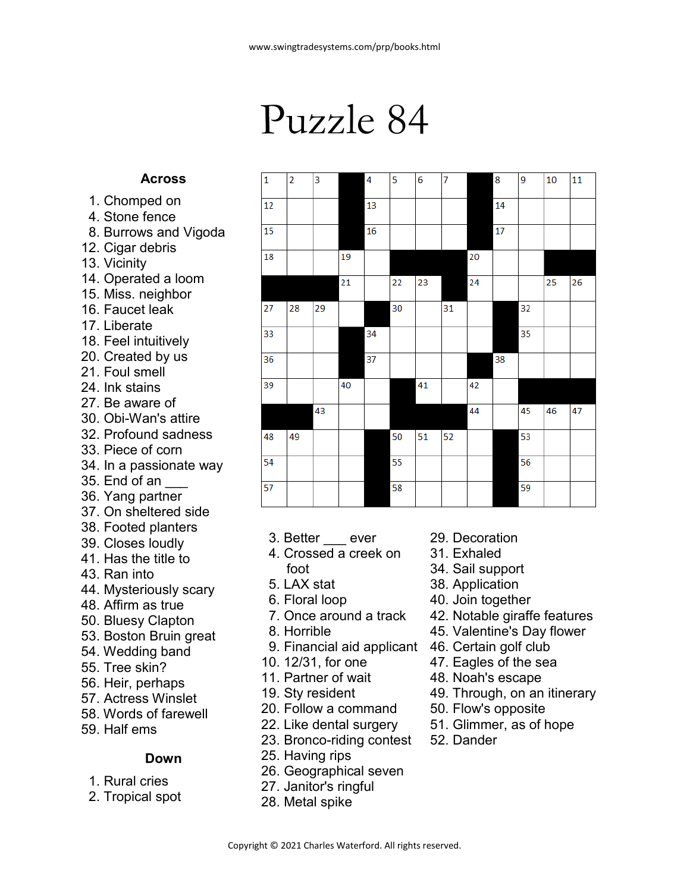# Puzzle 84

 $|2$ 

3

|1

### **Across**

- 1. Chomped on
- 4. Stone fence
- 8. Burrows and Vigoda
- 12. Cigar debris
- 13. Vicinity
- 14. Operated a loom
- 15. Miss. neighbor
- 16. Faucet leak
- 17. Liberate
- 18. Feel intuitively
- 20. Created by us
- 21. Foul smell 24. Ink stains
- 
- 27. Be aware of
- 30. Obi-Wan's attire 32. Profound sadness
- 33. Piece of corn
- 34. In a passionate way
- 35. End of an \_\_\_
- 36. Yang partner
- 37. On sheltered side
- 38. Footed planters
- 39. Closes loudly
- 41. Has the title to
- 43. Ran into
- 44. Mysteriously scary
- 48. Affirm as true
- 50. Bluesy Clapton
- 53. Boston Bruin great
- 54. Wedding band
- 55. Tree skin?
- 56. Heir, perhaps
- 57. Actress Winslet
- 58. Words of farewell
- 59. Half ems

#### **Down**

- 1. Rural cries
- 2. Tropical spot
- 3. Better ever
- 4. Crossed a creek on foot
- 5. LAX stat
- 6. Floral loop
- 7. Once around a track
- 8. Horrible
- 9. Financial aid applicant
- 10. 12/31, for one
- 11. Partner of wait
- 19. Sty resident
- 20. Follow a command
- 22. Like dental surgery
- 23. Bronco-riding contest
- 25. Having rips
- 26. Geographical seven
- 27. Janitor's ringful
- 28. Metal spike
- 29. Decoration
- 31. Exhaled
- 34. Sail support
- 38. Application
- 40. Join together
- 42. Notable giraffe features
- 45. Valentine's Day flower
- 46. Certain golf club
- 47. Eagles of the sea
- 48. Noah's escape
- 49. Through, on an itinerary
- 50. Flow's opposite
- 51. Glimmer, as of hope
- 52. Dander

| 12 |    |    |    | 13 |    |    |    |    | 14 |    |    |    |
|----|----|----|----|----|----|----|----|----|----|----|----|----|
| 15 |    |    |    | 16 |    |    |    |    | 17 |    |    |    |
| 18 |    |    | 19 |    |    |    |    | 20 |    |    |    |    |
|    |    |    | 21 |    | 22 | 23 |    | 24 |    |    | 25 | 26 |
| 27 | 28 | 29 |    |    | 30 |    | 31 |    |    | 32 |    |    |
| 33 |    |    |    | 34 |    |    |    |    |    | 35 |    |    |
| 36 |    |    |    | 37 |    |    |    |    | 38 |    |    |    |
| 39 |    |    | 40 |    |    | 41 |    | 42 |    |    |    |    |
|    |    | 43 |    |    |    |    |    | 44 |    | 45 | 46 | 47 |
| 48 | 49 |    |    |    | 50 | 51 | 52 |    |    | 53 |    |    |
| 54 |    |    |    |    | 55 |    |    |    |    | 56 |    |    |
| 57 |    |    |    |    | 58 |    |    |    |    | 59 |    |    |

6

5

 $\overline{7}$ 

 $\overline{9}$ 

8

10

11